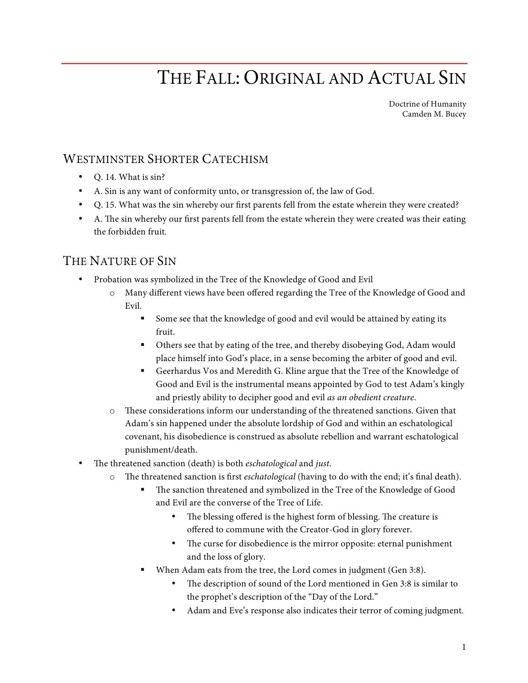## THE FALL: ORIGINAL AND ACTUAL SIN

Doctrine of Humanity Camden M. Bucey

## WESTMINSTER SHORTER CATECHISM

- Q. 14. What is sin?
- A. Sin is any want of conformity unto, or transgression of, the law of God.
- Q. 15. What was the sin whereby our frst parents fell from the estate wherein they were created?
- A. The sin whereby our first parents fell from the estate wherein they were created was their eating the forbidden fruit.

## THE NATURE OF SIN

- Probation was symbolized in the Tree of the Knowledge of Good and Evil
	- o Many different views have been offered regarding the Tree of the Knowledge of Good and Evil.
		- Some see that the knowledge of good and evil would be attained by eating its fruit.
		- § Others see that by eating of the tree, and thereby disobeying God, Adam would place himself into God's place, in a sense becoming the arbiter of good and evil.
		- § Geerhardus Vos and Meredith G. Kline argue that the Tree of the Knowledge of Good and Evil is the instrumental means appointed by God to test Adam's kingly and priestly ability to decipher good and evil *as an obedient creature*.
	- o These considerations inform our understanding of the threatened sanctions. Given that Adam's sin happened under the absolute lordship of God and within an eschatological covenant, his disobedience is construed as absolute rebellion and warrant eschatological punishment/death.
- The threatened sanction (death) is both *eschatological* and *just*.
	- o The threatened sanction is first *eschatological* (having to do with the end; it's final death).
		- The sanction threatened and symbolized in the Tree of the Knowledge of Good and Evil are the converse of the Tree of Life.
			- The blessing offered is the highest form of blessing. The creature is offered to commune with the Creator-God in glory forever.
			- The curse for disobedience is the mirror opposite: eternal punishment and the loss of glory.
		- When Adam eats from the tree, the Lord comes in judgment (Gen 3:8).
			- The description of sound of the Lord mentioned in Gen 3:8 is similar to the prophet's description of the "Day of the Lord."
			- Adam and Eve's response also indicates their terror of coming judgment.